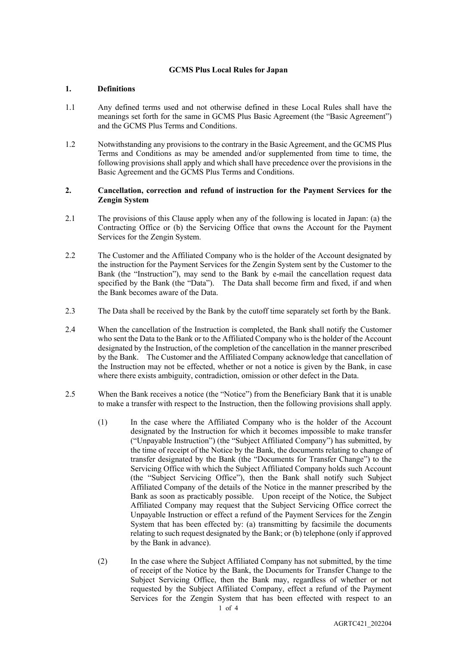## **GCMS Plus Local Rules for Japan**

## **1. Definitions**

- 1.1 Any defined terms used and not otherwise defined in these Local Rules shall have the meanings set forth for the same in GCMS Plus Basic Agreement (the "Basic Agreement") and the GCMS Plus Terms and Conditions.
- 1.2 Notwithstanding any provisions to the contrary in the Basic Agreement, and the GCMS Plus Terms and Conditions as may be amended and/or supplemented from time to time, the following provisions shall apply and which shall have precedence over the provisions in the Basic Agreement and the GCMS Plus Terms and Conditions.

## **2. Cancellation, correction and refund of instruction for the Payment Services for the Zengin System**

- 2.1 The provisions of this Clause apply when any of the following is located in Japan: (a) the Contracting Office or (b) the Servicing Office that owns the Account for the Payment Services for the Zengin System.
- 2.2 The Customer and the Affiliated Company who is the holder of the Account designated by the instruction for the Payment Services for the Zengin System sent by the Customer to the Bank (the "Instruction"), may send to the Bank by e-mail the cancellation request data specified by the Bank (the "Data"). The Data shall become firm and fixed, if and when the Bank becomes aware of the Data.
- 2.3 The Data shall be received by the Bank by the cutoff time separately set forth by the Bank.
- 2.4 When the cancellation of the Instruction is completed, the Bank shall notify the Customer who sent the Data to the Bank or to the Affiliated Company who is the holder of the Account designated by the Instruction, of the completion of the cancellation in the manner prescribed by the Bank. The Customer and the Affiliated Company acknowledge that cancellation of the Instruction may not be effected, whether or not a notice is given by the Bank, in case where there exists ambiguity, contradiction, omission or other defect in the Data.
- 2.5 When the Bank receives a notice (the "Notice") from the Beneficiary Bank that it is unable to make a transfer with respect to the Instruction, then the following provisions shall apply.
	- (1) In the case where the Affiliated Company who is the holder of the Account designated by the Instruction for which it becomes impossible to make transfer ("Unpayable Instruction") (the "Subject Affiliated Company") has submitted, by the time of receipt of the Notice by the Bank, the documents relating to change of transfer designated by the Bank (the "Documents for Transfer Change") to the Servicing Office with which the Subject Affiliated Company holds such Account (the "Subject Servicing Office"), then the Bank shall notify such Subject Affiliated Company of the details of the Notice in the manner prescribed by the Bank as soon as practicably possible. Upon receipt of the Notice, the Subject Affiliated Company may request that the Subject Servicing Office correct the Unpayable Instruction or effect a refund of the Payment Services for the Zengin System that has been effected by: (a) transmitting by facsimile the documents relating to such request designated by the Bank; or (b) telephone (only if approved by the Bank in advance).
	- (2) In the case where the Subject Affiliated Company has not submitted, by the time of receipt of the Notice by the Bank, the Documents for Transfer Change to the Subject Servicing Office, then the Bank may, regardless of whether or not requested by the Subject Affiliated Company, effect a refund of the Payment Services for the Zengin System that has been effected with respect to an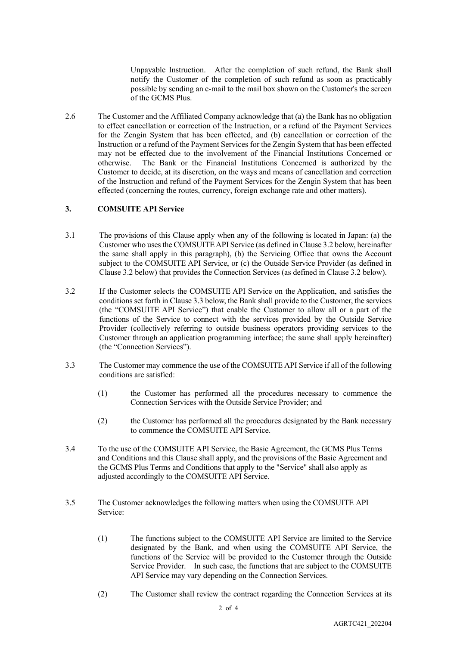Unpayable Instruction. After the completion of such refund, the Bank shall notify the Customer of the completion of such refund as soon as practicably possible by sending an e-mail to the mail box shown on the Customer's the screen of the GCMS Plus.

2.6 The Customer and the Affiliated Company acknowledge that (a) the Bank has no obligation to effect cancellation or correction of the Instruction, or a refund of the Payment Services for the Zengin System that has been effected, and (b) cancellation or correction of the Instruction or a refund of the Payment Services for the Zengin System that has been effected may not be effected due to the involvement of the Financial Institutions Concerned or otherwise. The Bank or the Financial Institutions Concerned is authorized by the Customer to decide, at its discretion, on the ways and means of cancellation and correction of the Instruction and refund of the Payment Services for the Zengin System that has been effected (concerning the routes, currency, foreign exchange rate and other matters).

## **3. COMSUITE API Service**

- 3.1 The provisions of this Clause apply when any of the following is located in Japan: (a) the Customer who uses the COMSUITE API Service (as defined in Clause 3.2 below, hereinafter the same shall apply in this paragraph), (b) the Servicing Office that owns the Account subject to the COMSUITE API Service, or (c) the Outside Service Provider (as defined in Clause 3.2 below) that provides the Connection Services (as defined in Clause 3.2 below).
- 3.2 If the Customer selects the COMSUITE API Service on the Application, and satisfies the conditions set forth in Clause 3.3 below, the Bank shall provide to the Customer, the services (the "COMSUITE API Service") that enable the Customer to allow all or a part of the functions of the Service to connect with the services provided by the Outside Service Provider (collectively referring to outside business operators providing services to the Customer through an application programming interface; the same shall apply hereinafter) (the "Connection Services").
- 3.3 The Customer may commence the use of the COMSUITE API Service if all of the following conditions are satisfied:
	- (1) the Customer has performed all the procedures necessary to commence the Connection Services with the Outside Service Provider; and
	- (2) the Customer has performed all the procedures designated by the Bank necessary to commence the COMSUITE API Service.
- 3.4 To the use of the COMSUITE API Service, the Basic Agreement, the GCMS Plus Terms and Conditions and this Clause shall apply, and the provisions of the Basic Agreement and the GCMS Plus Terms and Conditions that apply to the "Service" shall also apply as adjusted accordingly to the COMSUITE API Service.
- 3.5 The Customer acknowledges the following matters when using the COMSUITE API Service:
	- (1) The functions subject to the COMSUITE API Service are limited to the Service designated by the Bank, and when using the COMSUITE API Service, the functions of the Service will be provided to the Customer through the Outside Service Provider. In such case, the functions that are subject to the COMSUITE API Service may vary depending on the Connection Services.
	- (2) The Customer shall review the contract regarding the Connection Services at its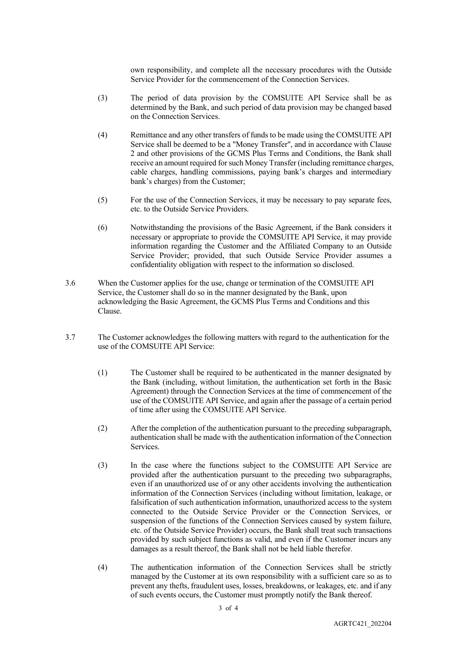own responsibility, and complete all the necessary procedures with the Outside Service Provider for the commencement of the Connection Services.

- (3) The period of data provision by the COMSUITE API Service shall be as determined by the Bank, and such period of data provision may be changed based on the Connection Services.
- (4) Remittance and any other transfers of funds to be made using the COMSUITE API Service shall be deemed to be a "Money Transfer", and in accordance with Clause 2 and other provisions of the GCMS Plus Terms and Conditions, the Bank shall receive an amount required for such Money Transfer (including remittance charges, cable charges, handling commissions, paying bank's charges and intermediary bank's charges) from the Customer;
- (5) For the use of the Connection Services, it may be necessary to pay separate fees, etc. to the Outside Service Providers.
- (6) Notwithstanding the provisions of the Basic Agreement, if the Bank considers it necessary or appropriate to provide the COMSUITE API Service, it may provide information regarding the Customer and the Affiliated Company to an Outside Service Provider; provided, that such Outside Service Provider assumes a confidentiality obligation with respect to the information so disclosed.
- 3.6 When the Customer applies for the use, change or termination of the COMSUITE API Service, the Customer shall do so in the manner designated by the Bank, upon acknowledging the Basic Agreement, the GCMS Plus Terms and Conditions and this Clause.
- 3.7 The Customer acknowledges the following matters with regard to the authentication for the use of the COMSUITE API Service:
	- (1) The Customer shall be required to be authenticated in the manner designated by the Bank (including, without limitation, the authentication set forth in the Basic Agreement) through the Connection Services at the time of commencement of the use of the COMSUITE API Service, and again after the passage of a certain period of time after using the COMSUITE API Service.
	- (2) After the completion of the authentication pursuant to the preceding subparagraph, authentication shall be made with the authentication information of the Connection **Services**
	- (3) In the case where the functions subject to the COMSUITE API Service are provided after the authentication pursuant to the preceding two subparagraphs, even if an unauthorized use of or any other accidents involving the authentication information of the Connection Services (including without limitation, leakage, or falsification of such authentication information, unauthorized access to the system connected to the Outside Service Provider or the Connection Services, or suspension of the functions of the Connection Services caused by system failure, etc. of the Outside Service Provider) occurs, the Bank shall treat such transactions provided by such subject functions as valid, and even if the Customer incurs any damages as a result thereof, the Bank shall not be held liable therefor.
	- (4) The authentication information of the Connection Services shall be strictly managed by the Customer at its own responsibility with a sufficient care so as to prevent any thefts, fraudulent uses, losses, breakdowns, or leakages, etc. and if any of such events occurs, the Customer must promptly notify the Bank thereof.